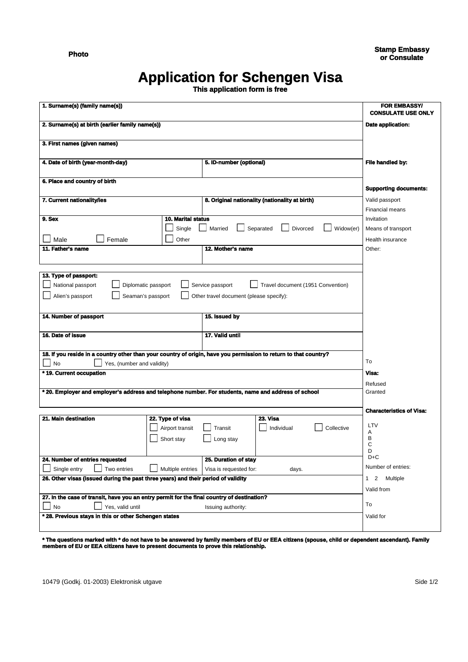**Photo**

## **Application for Schengen Visa**

**This application form is free**

| 1. Surname(s) (family name(s))                                                                                   |                                                     |                                         |                                   |                                          | <b>FOR EMBASSY/</b><br><b>CONSULATE USE ONLY</b> |  |
|------------------------------------------------------------------------------------------------------------------|-----------------------------------------------------|-----------------------------------------|-----------------------------------|------------------------------------------|--------------------------------------------------|--|
| 2. Surname(s) at birth (earlier family name(s))                                                                  |                                                     |                                         |                                   |                                          | Date application:                                |  |
|                                                                                                                  |                                                     |                                         |                                   |                                          |                                                  |  |
| 3. First names (given names)                                                                                     |                                                     |                                         |                                   |                                          |                                                  |  |
| 4. Date of birth (year-month-day)<br>5. ID-number (optional)                                                     |                                                     |                                         |                                   |                                          | File handled by:                                 |  |
| 6. Place and country of birth                                                                                    |                                                     |                                         |                                   |                                          |                                                  |  |
|                                                                                                                  | <b>Supporting documents:</b>                        |                                         |                                   |                                          |                                                  |  |
| 7. Current nationality/ies                                                                                       | 8. Original nationality (nationality at birth)      |                                         |                                   | Valid passport<br><b>Financial means</b> |                                                  |  |
| 9. Sex                                                                                                           | <b>10. Marital status</b>                           |                                         |                                   |                                          | Invitation                                       |  |
|                                                                                                                  | Single                                              | Married                                 | Separated<br><b>Divorced</b>      | Widow(er)                                | Means of transport                               |  |
|                                                                                                                  |                                                     |                                         |                                   |                                          | Health insurance                                 |  |
| 11. Father's name                                                                                                | Female<br>Other<br>Male<br>12. Mother's name        |                                         |                                   |                                          |                                                  |  |
|                                                                                                                  |                                                     |                                         |                                   |                                          | Other:                                           |  |
|                                                                                                                  |                                                     |                                         |                                   |                                          |                                                  |  |
| 13. Type of passport:                                                                                            |                                                     |                                         |                                   |                                          |                                                  |  |
| National passport<br>Diplomatic passport                                                                         |                                                     | Service passport                        | Travel document (1951 Convention) |                                          |                                                  |  |
| Alien's passport<br>Seaman's passport                                                                            |                                                     | Other travel document (please specify): |                                   |                                          |                                                  |  |
|                                                                                                                  |                                                     |                                         |                                   |                                          |                                                  |  |
| 14. Number of passport                                                                                           |                                                     | 15. Issued by                           |                                   |                                          |                                                  |  |
|                                                                                                                  |                                                     |                                         |                                   |                                          |                                                  |  |
| 16. Date of issue                                                                                                |                                                     | 17. Valid until                         |                                   |                                          |                                                  |  |
|                                                                                                                  |                                                     |                                         |                                   |                                          |                                                  |  |
| 18. If you reside in a country other than your country of origin, have you permission to return to that country? |                                                     |                                         |                                   |                                          |                                                  |  |
| No<br>Yes, (number and validity)                                                                                 | To                                                  |                                         |                                   |                                          |                                                  |  |
| * 19. Current occupation                                                                                         |                                                     |                                         |                                   |                                          | Visa:                                            |  |
|                                                                                                                  |                                                     |                                         |                                   |                                          | Refused                                          |  |
| * 20. Employer and employer's address and telephone number. For students, name and address of school             | Granted                                             |                                         |                                   |                                          |                                                  |  |
|                                                                                                                  |                                                     |                                         |                                   |                                          |                                                  |  |
|                                                                                                                  |                                                     |                                         |                                   |                                          | <b>Characteristics of Visa:</b>                  |  |
| 21. Main destination                                                                                             | 22. Type of visa                                    |                                         | 23. Visa                          |                                          | LTV                                              |  |
|                                                                                                                  | Airport transit                                     | Transit                                 | Individual                        | Collective                               | Α                                                |  |
|                                                                                                                  | Short stay                                          | Long stay                               |                                   |                                          | в<br>C                                           |  |
|                                                                                                                  |                                                     |                                         |                                   |                                          | D                                                |  |
| 24. Number of entries requested                                                                                  | $D + C$                                             |                                         |                                   |                                          |                                                  |  |
| Single entry<br>Two entries                                                                                      | Multiple entries<br>Visa is requested for:<br>days. |                                         |                                   |                                          | Number of entries:                               |  |
| 26. Other visas (issued during the past three years) and their period of validity                                | 1 2 Multiple                                        |                                         |                                   |                                          |                                                  |  |
|                                                                                                                  | Valid from                                          |                                         |                                   |                                          |                                                  |  |
| 27. In the case of transit, have you an entry permit for the final country of destination?                       |                                                     |                                         |                                   |                                          |                                                  |  |
| Yes, valid until<br>No<br>Issuing authority:                                                                     |                                                     |                                         |                                   |                                          | To                                               |  |
| * 28. Previous stays in this or other Schengen states                                                            | Valid for                                           |                                         |                                   |                                          |                                                  |  |
|                                                                                                                  |                                                     |                                         |                                   |                                          |                                                  |  |

**\* The questions marked with \* do not have to be answered by family members of EU or EEA citizens (spouse, child or dependent ascendant). Family members of EU or EEA citizens have to present documents to prove this relationship.**

10479 (Godkj. 01-2003) Elektronisk utgave Side 1/2